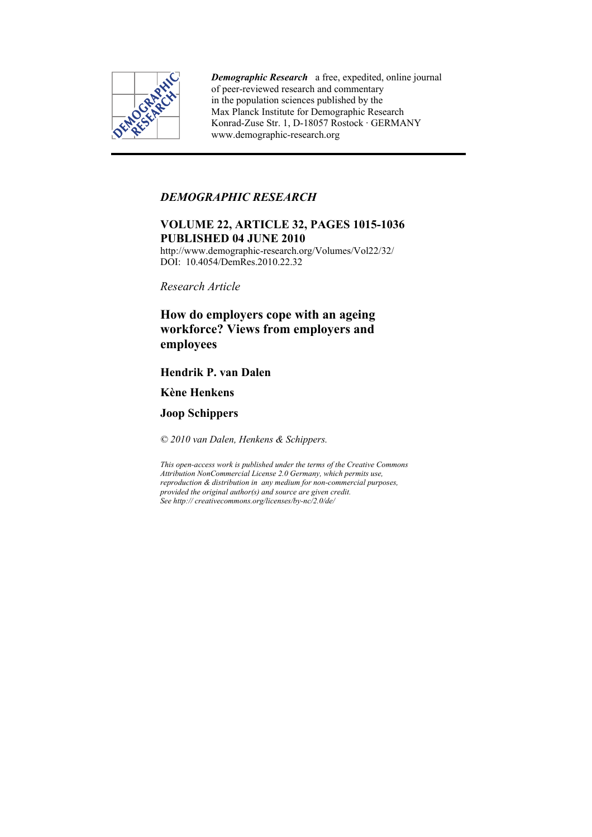

*Demographic Research* a free, expedited, online journal of peer-reviewed research and commentary in the population sciences published by the Max Planck Institute for Demographic Research Konrad-Zuse Str. 1, D-18057 Rostock · GERMANY www.demographic-research.org

## *DEMOGRAPHIC RESEARCH*

# **VOLUME 22, ARTICLE 32, PAGES 1015-1036 PUBLISHED 04 JUNE 2010**

http://www.demographic-research.org/Volumes/Vol22/32/ DOI: 10.4054/DemRes.2010.22.32

*Research Article* 

# **How do employers cope with an ageing workforce? Views from employers and employees**

# **Hendrik P. van Dalen**

# **Kène Henkens**

**Joop Schippers** 

*© 2010 van Dalen, Henkens & Schippers.* 

*This open-access work is published under the terms of the Creative Commons Attribution NonCommercial License 2.0 Germany, which permits use, reproduction & distribution in any medium for non-commercial purposes, provided the original author(s) and source are given credit. See http:// creativecommons.org/licenses/by-nc/2.0/de/*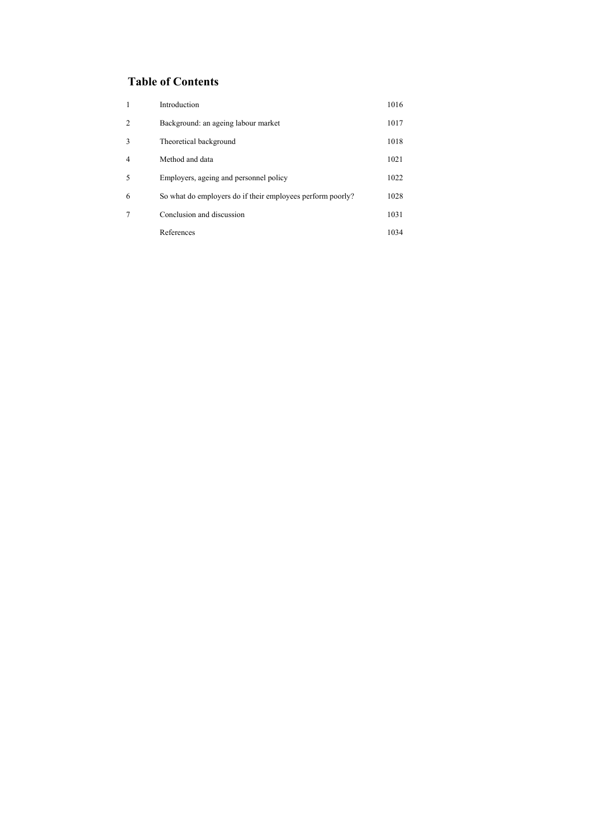# **Table of Contents**

| 1              | Introduction                                               | 1016 |
|----------------|------------------------------------------------------------|------|
| $\overline{2}$ | Background: an ageing labour market                        | 1017 |
| 3              | Theoretical background                                     | 1018 |
| $\overline{4}$ | Method and data                                            | 1021 |
| 5              | Employers, ageing and personnel policy                     | 1022 |
| 6              | So what do employers do if their employees perform poorly? | 1028 |
| 7              | Conclusion and discussion                                  | 1031 |
|                | References                                                 | 1034 |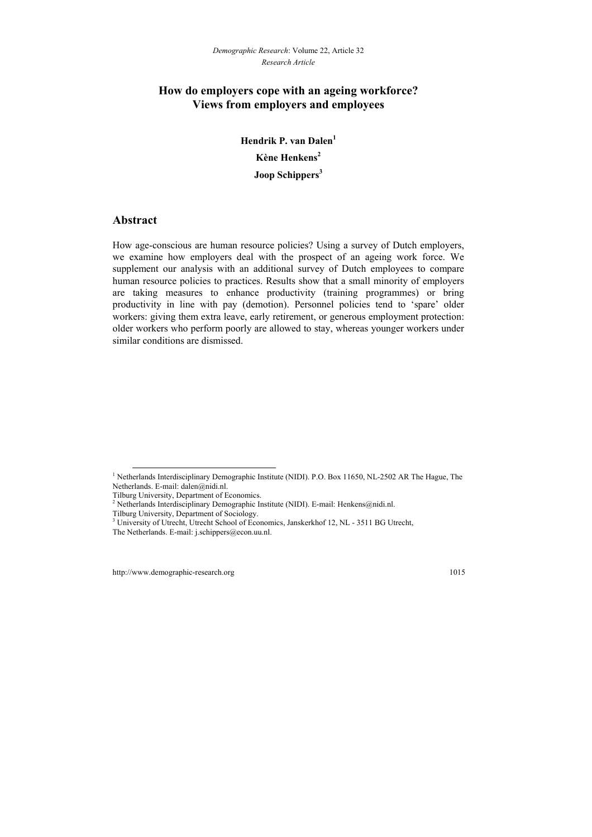## **How do employers cope with an ageing workforce? Views from employers and employees**

**Hendrik P. van Dalen<sup>1</sup> Kène Henkens2 Joop Schippers<sup>3</sup>** 

### **Abstract**

l

How age-conscious are human resource policies? Using a survey of Dutch employers, we examine how employers deal with the prospect of an ageing work force. We supplement our analysis with an additional survey of Dutch employees to compare human resource policies to practices. Results show that a small minority of employers are taking measures to enhance productivity (training programmes) or bring productivity in line with pay (demotion). Personnel policies tend to 'spare' older workers: giving them extra leave, early retirement, or generous employment protection: older workers who perform poorly are allowed to stay, whereas younger workers under similar conditions are dismissed.

<sup>&</sup>lt;sup>1</sup> Netherlands Interdisciplinary Demographic Institute (NIDI). P.O. Box 11650, NL-2502 AR The Hague, The Netherlands. E-mail: dalen@nidi.nl.

Tilburg University, Department of Economics.

<sup>&</sup>lt;sup>2</sup> Netherlands Interdisciplinary Demographic Institute (NIDI). E-mail: Henkens@nidi.nl.

Tilburg University, Department of Sociology.

<sup>&</sup>lt;sup>3</sup> University of Utrecht, Utrecht School of Economics, Janskerkhof 12, NL - 3511 BG Utrecht,

The Netherlands. E-mail: j.schippers@econ.uu.nl.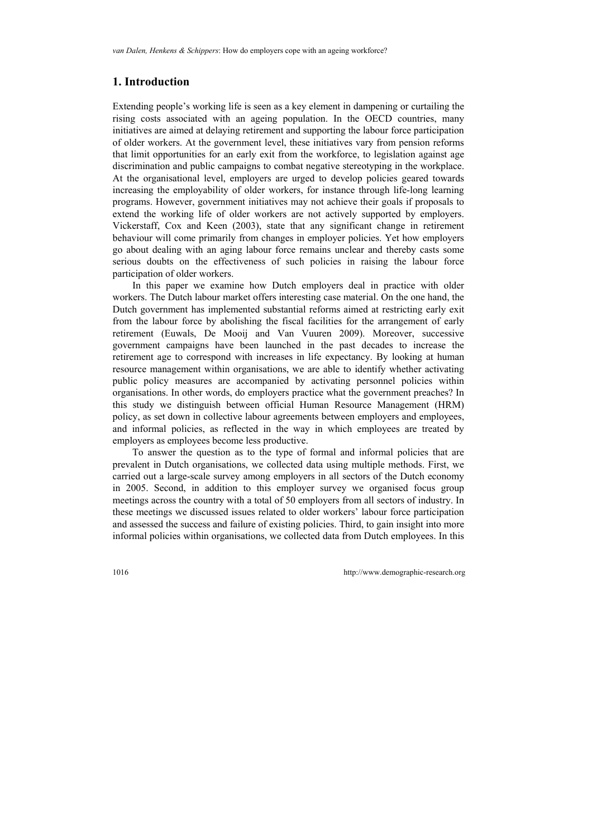### **1. Introduction**

Extending people's working life is seen as a key element in dampening or curtailing the rising costs associated with an ageing population. In the OECD countries, many initiatives are aimed at delaying retirement and supporting the labour force participation of older workers. At the government level, these initiatives vary from pension reforms that limit opportunities for an early exit from the workforce, to legislation against age discrimination and public campaigns to combat negative stereotyping in the workplace. At the organisational level, employers are urged to develop policies geared towards increasing the employability of older workers, for instance through life-long learning programs. However, government initiatives may not achieve their goals if proposals to extend the working life of older workers are not actively supported by employers. Vickerstaff, Cox and Keen (2003), state that any significant change in retirement behaviour will come primarily from changes in employer policies. Yet how employers go about dealing with an aging labour force remains unclear and thereby casts some serious doubts on the effectiveness of such policies in raising the labour force participation of older workers.

In this paper we examine how Dutch employers deal in practice with older workers. The Dutch labour market offers interesting case material. On the one hand, the Dutch government has implemented substantial reforms aimed at restricting early exit from the labour force by abolishing the fiscal facilities for the arrangement of early retirement (Euwals, De Mooij and Van Vuuren 2009). Moreover, successive government campaigns have been launched in the past decades to increase the retirement age to correspond with increases in life expectancy. By looking at human resource management within organisations, we are able to identify whether activating public policy measures are accompanied by activating personnel policies within organisations. In other words, do employers practice what the government preaches? In this study we distinguish between official Human Resource Management (HRM) policy, as set down in collective labour agreements between employers and employees, and informal policies, as reflected in the way in which employees are treated by employers as employees become less productive.

To answer the question as to the type of formal and informal policies that are prevalent in Dutch organisations, we collected data using multiple methods. First, we carried out a large-scale survey among employers in all sectors of the Dutch economy in 2005. Second, in addition to this employer survey we organised focus group meetings across the country with a total of 50 employers from all sectors of industry. In these meetings we discussed issues related to older workers' labour force participation and assessed the success and failure of existing policies. Third, to gain insight into more informal policies within organisations, we collected data from Dutch employees. In this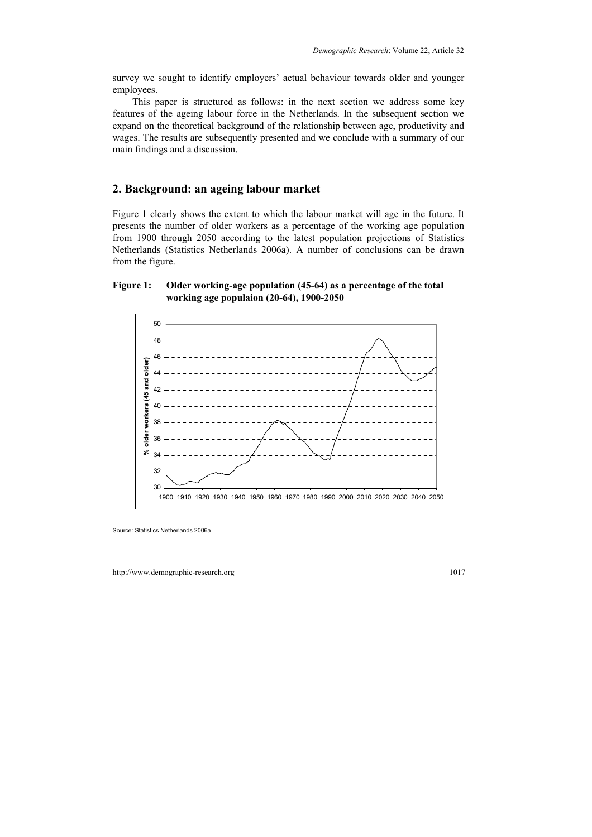survey we sought to identify employers' actual behaviour towards older and younger employees.

This paper is structured as follows: in the next section we address some key features of the ageing labour force in the Netherlands. In the subsequent section we expand on the theoretical background of the relationship between age, productivity and wages. The results are subsequently presented and we conclude with a summary of our main findings and a discussion.

#### **2. Background: an ageing labour market**

Figure 1 clearly shows the extent to which the labour market will age in the future. It presents the number of older workers as a percentage of the working age population from 1900 through 2050 according to the latest population projections of Statistics Netherlands (Statistics Netherlands 2006a). A number of conclusions can be drawn from the figure.

#### **Figure 1: Older working-age population (45-64) as a percentage of the total working age populaion (20-64), 1900-2050**



Source: Statistics Netherlands 2006a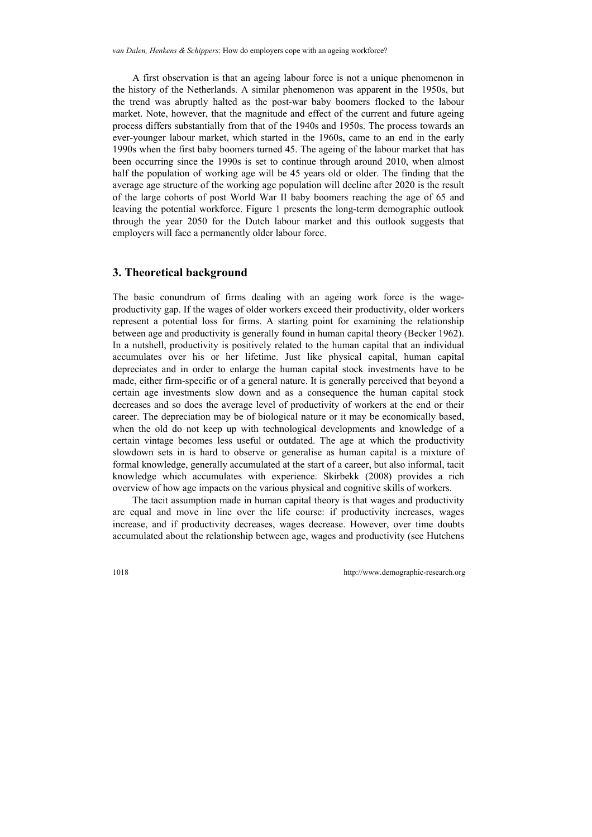A first observation is that an ageing labour force is not a unique phenomenon in the history of the Netherlands. A similar phenomenon was apparent in the 1950s, but the trend was abruptly halted as the post-war baby boomers flocked to the labour market. Note, however, that the magnitude and effect of the current and future ageing process differs substantially from that of the 1940s and 1950s. The process towards an ever-younger labour market, which started in the 1960s, came to an end in the early 1990s when the first baby boomers turned 45. The ageing of the labour market that has been occurring since the 1990s is set to continue through around 2010, when almost half the population of working age will be 45 years old or older. The finding that the average age structure of the working age population will decline after 2020 is the result of the large cohorts of post World War II baby boomers reaching the age of 65 and leaving the potential workforce. Figure 1 presents the long-term demographic outlook through the year 2050 for the Dutch labour market and this outlook suggests that employers will face a permanently older labour force.

### **3. Theoretical background**

The basic conundrum of firms dealing with an ageing work force is the wageproductivity gap. If the wages of older workers exceed their productivity, older workers represent a potential loss for firms. A starting point for examining the relationship between age and productivity is generally found in human capital theory (Becker 1962). In a nutshell, productivity is positively related to the human capital that an individual accumulates over his or her lifetime. Just like physical capital, human capital depreciates and in order to enlarge the human capital stock investments have to be made, either firm-specific or of a general nature. It is generally perceived that beyond a certain age investments slow down and as a consequence the human capital stock decreases and so does the average level of productivity of workers at the end or their career. The depreciation may be of biological nature or it may be economically based, when the old do not keep up with technological developments and knowledge of a certain vintage becomes less useful or outdated. The age at which the productivity slowdown sets in is hard to observe or generalise as human capital is a mixture of formal knowledge, generally accumulated at the start of a career, but also informal, tacit knowledge which accumulates with experience. Skirbekk (2008) provides a rich overview of how age impacts on the various physical and cognitive skills of workers.

The tacit assumption made in human capital theory is that wages and productivity are equal and move in line over the life course: if productivity increases, wages increase, and if productivity decreases, wages decrease. However, over time doubts accumulated about the relationship between age, wages and productivity (see Hutchens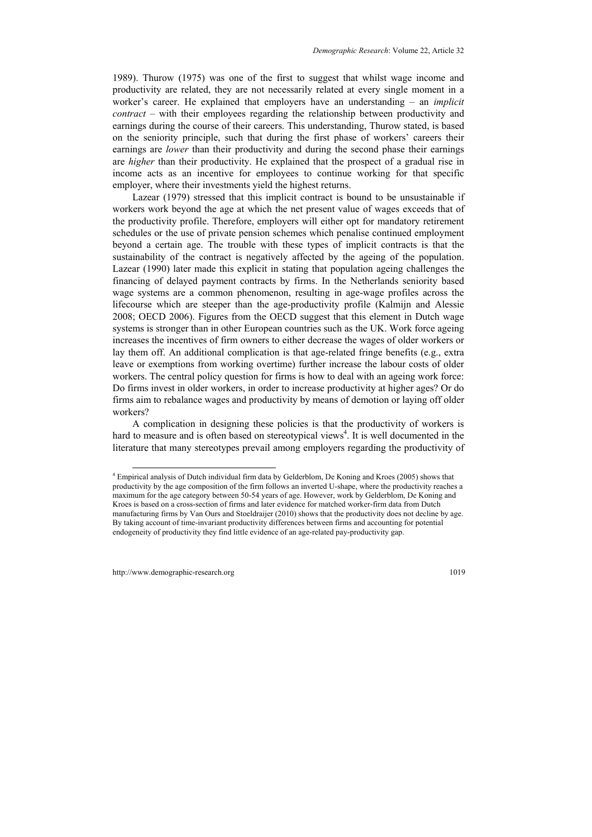1989). Thurow (1975) was one of the first to suggest that whilst wage income and productivity are related, they are not necessarily related at every single moment in a worker's career. He explained that employers have an understanding – an *implicit contract* – with their employees regarding the relationship between productivity and earnings during the course of their careers. This understanding, Thurow stated, is based on the seniority principle, such that during the first phase of workers' careers their earnings are *lower* than their productivity and during the second phase their earnings are *higher* than their productivity. He explained that the prospect of a gradual rise in income acts as an incentive for employees to continue working for that specific employer, where their investments yield the highest returns.

Lazear (1979) stressed that this implicit contract is bound to be unsustainable if workers work beyond the age at which the net present value of wages exceeds that of the productivity profile. Therefore, employers will either opt for mandatory retirement schedules or the use of private pension schemes which penalise continued employment beyond a certain age. The trouble with these types of implicit contracts is that the sustainability of the contract is negatively affected by the ageing of the population. Lazear (1990) later made this explicit in stating that population ageing challenges the financing of delayed payment contracts by firms. In the Netherlands seniority based wage systems are a common phenomenon, resulting in age-wage profiles across the lifecourse which are steeper than the age-productivity profile (Kalmijn and Alessie 2008; OECD 2006). Figures from the OECD suggest that this element in Dutch wage systems is stronger than in other European countries such as the UK. Work force ageing increases the incentives of firm owners to either decrease the wages of older workers or lay them off. An additional complication is that age-related fringe benefits (e.g., extra leave or exemptions from working overtime) further increase the labour costs of older workers. The central policy question for firms is how to deal with an ageing work force: Do firms invest in older workers, in order to increase productivity at higher ages? Or do firms aim to rebalance wages and productivity by means of demotion or laying off older workers?

A complication in designing these policies is that the productivity of workers is hard to measure and is often based on stereotypical views<sup>4</sup>. It is well documented in the literature that many stereotypes prevail among employers regarding the productivity of

l

<span id="page-6-0"></span><sup>4</sup> Empirical analysis of Dutch individual firm data by Gelderblom, De Koning and Kroes (2005) shows that productivity by the age composition of the firm follows an inverted U-s[hap](#page-6-0)e, where the productivity reaches a maximum for the age category between 50-54 years of age. However, work by Gelderblom, De Koning and Kroes is based on a cross-section of firms and later evidence for matched worker-firm data from Dutch manufacturing firms by Van Ours and Stoeldraijer (2010) shows that the productivity does not decline by age. By taking account of time-invariant productivity differences between firms and accounting for potential endogeneity of productivity they find little evidence of an age-related pay-productivity gap.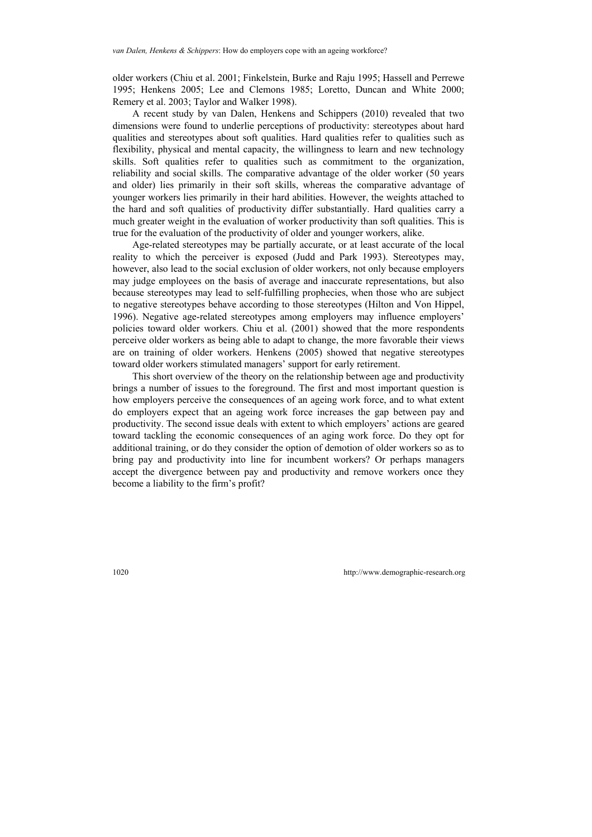older workers (Chiu et al. 2001; Finkelstein, Burke and Raju 1995; Hassell and Perrewe 1995; Henkens 2005; Lee and Clemons 1985; Loretto, Duncan and White 2000; Remery et al. 2003; Taylor and Walker 1998).

A recent study by van Dalen, Henkens and Schippers (2010) revealed that two dimensions were found to underlie perceptions of productivity: stereotypes about hard qualities and stereotypes about soft qualities. Hard qualities refer to qualities such as flexibility, physical and mental capacity, the willingness to learn and new technology skills. Soft qualities refer to qualities such as commitment to the organization, reliability and social skills. The comparative advantage of the older worker (50 years and older) lies primarily in their soft skills, whereas the comparative advantage of younger workers lies primarily in their hard abilities. However, the weights attached to the hard and soft qualities of productivity differ substantially. Hard qualities carry a much greater weight in the evaluation of worker productivity than soft qualities. This is true for the evaluation of the productivity of older and younger workers, alike.

Age-related stereotypes may be partially accurate, or at least accurate of the local reality to which the perceiver is exposed (Judd and Park 1993). Stereotypes may, however, also lead to the social exclusion of older workers, not only because employers may judge employees on the basis of average and inaccurate representations, but also because stereotypes may lead to self-fulfilling prophecies, when those who are subject to negative stereotypes behave according to those stereotypes (Hilton and Von Hippel, 1996). Negative age-related stereotypes among employers may influence employers' policies toward older workers. Chiu et al. (2001) showed that the more respondents perceive older workers as being able to adapt to change, the more favorable their views are on training of older workers. Henkens (2005) showed that negative stereotypes toward older workers stimulated managers' support for early retirement.

This short overview of the theory on the relationship between age and productivity brings a number of issues to the foreground. The first and most important question is how employers perceive the consequences of an ageing work force, and to what extent do employers expect that an ageing work force increases the gap between pay and productivity. The second issue deals with extent to which employers' actions are geared toward tackling the economic consequences of an aging work force. Do they opt for additional training, or do they consider the option of demotion of older workers so as to bring pay and productivity into line for incumbent workers? Or perhaps managers accept the divergence between pay and productivity and remove workers once they become a liability to the firm's profit?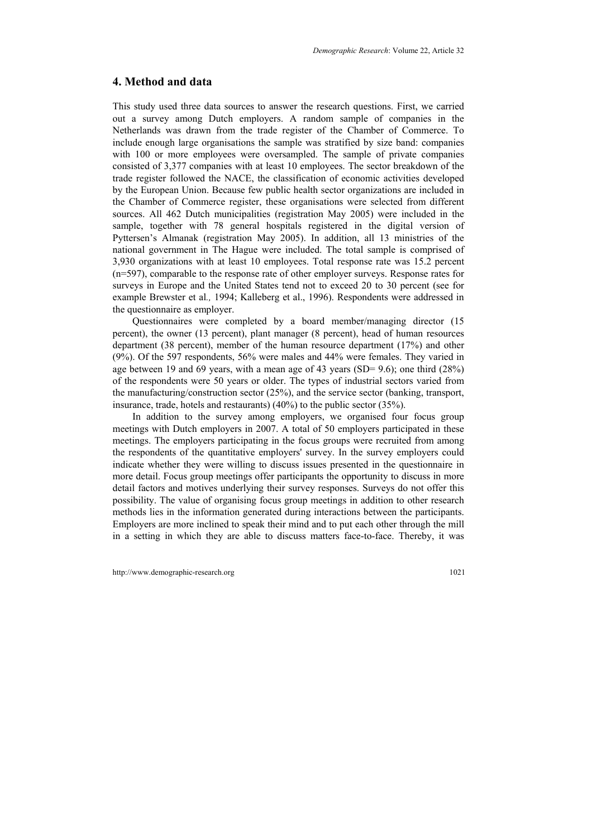### **4. Method and data**

This study used three data sources to answer the research questions. First, we carried out a survey among Dutch employers. A random sample of companies in the Netherlands was drawn from the trade register of the Chamber of Commerce. To include enough large organisations the sample was stratified by size band: companies with 100 or more employees were oversampled. The sample of private companies consisted of 3,377 companies with at least 10 employees. The sector breakdown of the trade register followed the NACE, the classification of economic activities developed by the European Union. Because few public health sector organizations are included in the Chamber of Commerce register, these organisations were selected from different sources. All 462 Dutch municipalities (registration May 2005) were included in the sample, together with 78 general hospitals registered in the digital version of Pyttersen's Almanak (registration May 2005). In addition, all 13 ministries of the national government in The Hague were included. The total sample is comprised of 3,930 organizations with at least 10 employees. Total response rate was 15.2 percent (n=597), comparable to the response rate of other employer surveys. Response rates for surveys in Europe and the United States tend not to exceed 20 to 30 percent (see for example Brewster et al*.,* 1994; Kalleberg et al., 1996). Respondents were addressed in the questionnaire as employer.

Questionnaires were completed by a board member/managing director (15 percent), the owner (13 percent), plant manager (8 percent), head of human resources department (38 percent), member of the human resource department (17%) and other (9%). Of the 597 respondents, 56% were males and 44% were females. They varied in age between 19 and 69 years, with a mean age of 43 years (SD= 9.6); one third (28%) of the respondents were 50 years or older. The types of industrial sectors varied from the manufacturing/construction sector (25%), and the service sector (banking, transport, insurance, trade, hotels and restaurants) (40%) to the public sector (35%).

In addition to the survey among employers, we organised four focus group meetings with Dutch employers in 2007. A total of 50 employers participated in these meetings. The employers participating in the focus groups were recruited from among the respondents of the quantitative employers' survey. In the survey employers could indicate whether they were willing to discuss issues presented in the questionnaire in more detail. Focus group meetings offer participants the opportunity to discuss in more detail factors and motives underlying their survey responses. Surveys do not offer this possibility. The value of organising focus group meetings in addition to other research methods lies in the information generated during interactions between the participants. Employers are more inclined to speak their mind and to put each other through the mill in a setting in which they are able to discuss matters face-to-face. Thereby, it was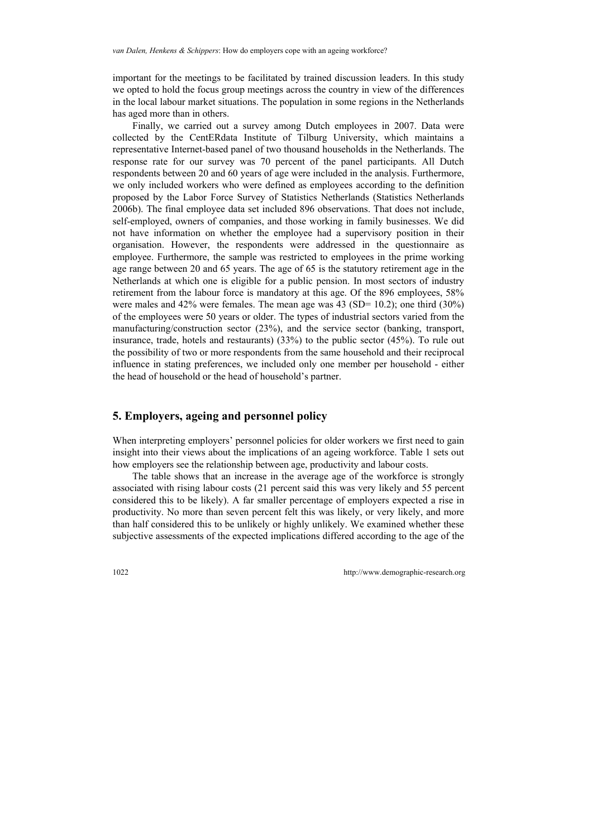important for the meetings to be facilitated by trained discussion leaders. In this study we opted to hold the focus group meetings across the country in view of the differences in the local labour market situations. The population in some regions in the Netherlands has aged more than in others.

Finally, we carried out a survey among Dutch employees in 2007. Data were collected by the CentERdata Institute of Tilburg University, which maintains a representative Internet-based panel of two thousand households in the Netherlands. The response rate for our survey was 70 percent of the panel participants. All Dutch respondents between 20 and 60 years of age were included in the analysis. Furthermore, we only included workers who were defined as employees according to the definition proposed by the Labor Force Survey of Statistics Netherlands (Statistics Netherlands 2006b). The final employee data set included 896 observations. That does not include, self-employed, owners of companies, and those working in family businesses. We did not have information on whether the employee had a supervisory position in their organisation. However, the respondents were addressed in the questionnaire as employee. Furthermore, the sample was restricted to employees in the prime working age range between 20 and 65 years. The age of 65 is the statutory retirement age in the Netherlands at which one is eligible for a public pension. In most sectors of industry retirement from the labour force is mandatory at this age. Of the 896 employees, 58% were males and  $42\%$  were females. The mean age was  $43$  (SD= 10.2); one third (30%) of the employees were 50 years or older. The types of industrial sectors varied from the manufacturing/construction sector (23%), and the service sector (banking, transport, insurance, trade, hotels and restaurants) (33%) to the public sector (45%). To rule out the possibility of two or more respondents from the same household and their reciprocal influence in stating preferences, we included only one member per household - either the head of household or the head of household's partner.

### **5. Employers, ageing and personnel policy**

When interpreting employers' personnel policies for older workers we first need to gain insight into their views about the implications of an ageing workforce. Table 1 sets out how employers see the relationship between age, productivity and labour costs.

The table shows that an increase in the average age of the workforce is strongly associated with rising labour costs (21 percent said this was very likely and 55 percent considered this to be likely). A far smaller percentage of employers expected a rise in productivity. No more than seven percent felt this was likely, or very likely, and more than half considered this to be unlikely or highly unlikely. We examined whether these subjective assessments of the expected implications differed according to the age of the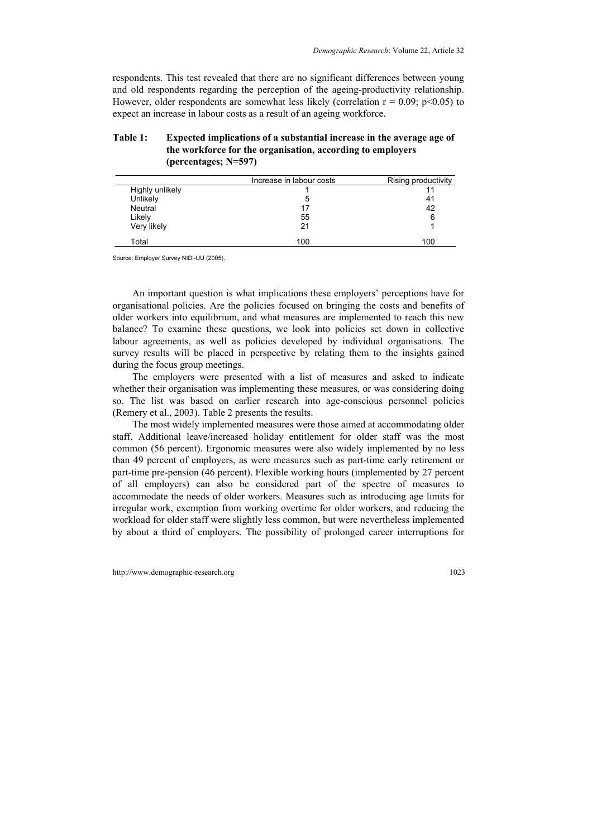respondents. This test revealed that there are no significant differences between young and old respondents regarding the perception of the ageing-productivity relationship. However, older respondents are somewhat less likely (correlation  $r = 0.09$ ;  $p < 0.05$ ) to expect an increase in labour costs as a result of an ageing workforce.

| Table 1: | Expected implications of a substantial increase in the average age of |
|----------|-----------------------------------------------------------------------|
|          | the workforce for the organisation, according to employers            |
|          | (percentages: $N=597$ )                                               |
|          |                                                                       |

|                 | Increase in labour costs | Rising productivity |
|-----------------|--------------------------|---------------------|
| Highly unlikely |                          |                     |
| Unlikely        | 5                        | 41                  |
| Neutral         | 17                       | 42                  |
| Likely          | 55                       | 6                   |
| Very likely     | 21                       |                     |
| Total           | 100                      | 100                 |

Source: Employer Survey NIDI-UU (2005).

An important question is what implications these employers' perceptions have for organisational policies. Are the policies focused on bringing the costs and benefits of older workers into equilibrium, and what measures are implemented to reach this new balance? To examine these questions, we look into policies set down in collective labour agreements, as well as policies developed by individual organisations. The survey results will be placed in perspective by relating them to the insights gained during the focus group meetings.

The employers were presented with a list of measures and asked to indicate whether their organisation was implementing these measures, or was considering doing so. The list was based on earlier research into age-conscious personnel policies (Remery et al., 2003). Table 2 presents the results.

The most widely implemented measures were those aimed at accommodating older staff. Additional leave/increased holiday entitlement for older staff was the most common (56 percent). Ergonomic measures were also widely implemented by no less than 49 percent of employers, as were measures such as part-time early retirement or part-time pre-pension (46 percent). Flexible working hours (implemented by 27 percent of all employers) can also be considered part of the spectre of measures to accommodate the needs of older workers. Measures such as introducing age limits for irregular work, exemption from working overtime for older workers, and reducing the workload for older staff were slightly less common, but were nevertheless implemented by about a third of employers. The possibility of prolonged career interruptions for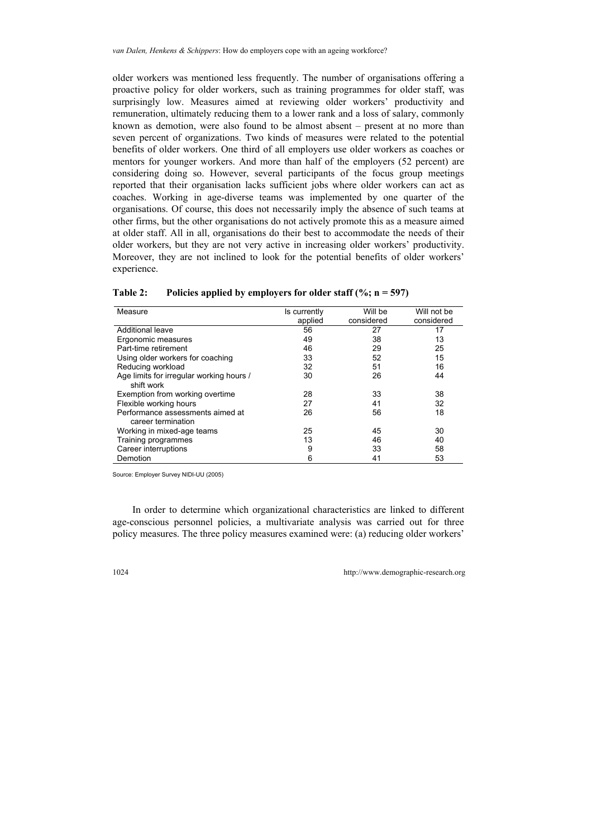older workers was mentioned less frequently. The number of organisations offering a proactive policy for older workers, such as training programmes for older staff, was surprisingly low. Measures aimed at reviewing older workers' productivity and remuneration, ultimately reducing them to a lower rank and a loss of salary, commonly known as demotion, were also found to be almost absent – present at no more than seven percent of organizations. Two kinds of measures were related to the potential benefits of older workers. One third of all employers use older workers as coaches or mentors for younger workers. And more than half of the employers (52 percent) are considering doing so. However, several participants of the focus group meetings reported that their organisation lacks sufficient jobs where older workers can act as coaches. Working in age-diverse teams was implemented by one quarter of the organisations. Of course, this does not necessarily imply the absence of such teams at other firms, but the other organisations do not actively promote this as a measure aimed at older staff. All in all, organisations do their best to accommodate the needs of their older workers, but they are not very active in increasing older workers' productivity. Moreover, they are not inclined to look for the potential benefits of older workers' experience.

| Measure                                  | Is currently | Will be    | Will not be |
|------------------------------------------|--------------|------------|-------------|
|                                          | applied      | considered | considered  |
| Additional leave                         | 56           | 27         | 17          |
| Ergonomic measures                       | 49           | 38         | 13          |
| Part-time retirement                     | 46           | 29         | 25          |
| Using older workers for coaching         | 33           | 52         | 15          |
| Reducing workload                        | 32           | 51         | 16          |
| Age limits for irregular working hours / | 30           | 26         | 44          |
| shift work                               |              |            |             |
| Exemption from working overtime          | 28           | 33         | 38          |
| Flexible working hours                   | 27           | 41         | 32          |
| Performance assessments aimed at         | 26           | 56         | 18          |
| career termination                       |              |            |             |
| Working in mixed-age teams               | 25           | 45         | 30          |
| Training programmes                      | 13           | 46         | 40          |
| Career interruptions                     | 9            | 33         | 58          |
| Demotion                                 | 6            | 41         | 53          |

**Table 2: Policies applied by employers for older staff (%; n = 597)** 

Source: Employer Survey NIDI-UU (2005)

In order to determine which organizational characteristics are linked to different age-conscious personnel policies, a multivariate analysis was carried out for three policy measures. The three policy measures examined were: (a) reducing older workers'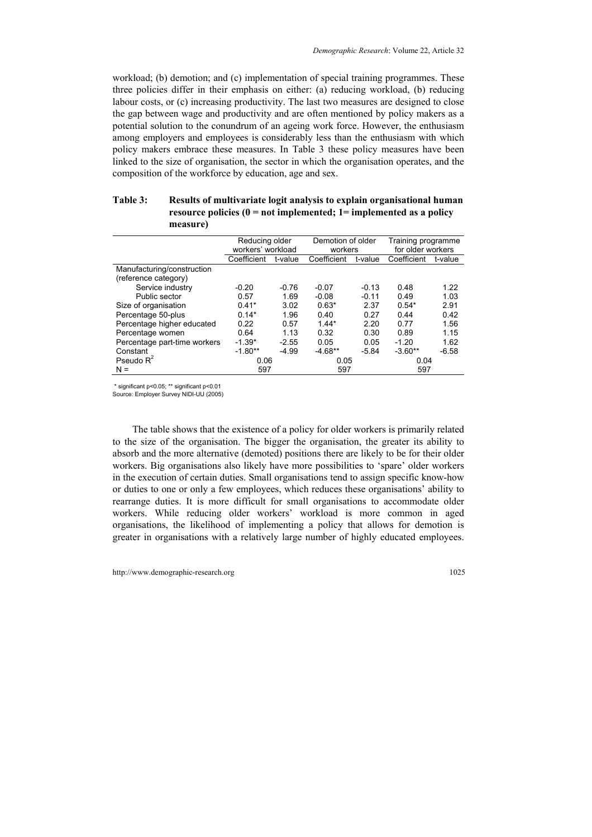workload; (b) demotion; and (c) implementation of special training programmes. These three policies differ in their emphasis on either: (a) reducing workload, (b) reducing labour costs, or (c) increasing productivity. The last two measures are designed to close the gap between wage and productivity and are often mentioned by policy makers as a potential solution to the conundrum of an ageing work force. However, the enthusiasm among employers and employees is considerably less than the enthusiasm with which policy makers embrace these measures. In Table 3 these policy measures have been linked to the size of organisation, the sector in which the organisation operates, and the composition of the workforce by education, age and sex.

#### **Table 3: Results of multivariate logit analysis to explain organisational human resource policies (0 = not implemented; 1= implemented as a policy measure)**

|                              | Reducing older    |         | Demotion of older |         | Training programme |         |
|------------------------------|-------------------|---------|-------------------|---------|--------------------|---------|
|                              | workers' workload |         | workers           |         | for older workers  |         |
|                              | Coefficient       | t-value | Coefficient       | t-value | Coefficient        | t-value |
| Manufacturing/construction   |                   |         |                   |         |                    |         |
| (reference category)         |                   |         |                   |         |                    |         |
| Service industry             | $-0.20$           | $-0.76$ | $-0.07$           | $-0.13$ | 0.48               | 1.22    |
| Public sector                | 0.57              | 1.69    | $-0.08$           | $-0.11$ | 0.49               | 1.03    |
| Size of organisation         | $0.41*$           | 3.02    | $0.63*$           | 2.37    | $0.54*$            | 2.91    |
| Percentage 50-plus           | $0.14*$           | 1.96    | 0.40              | 0.27    | 0.44               | 0.42    |
| Percentage higher educated   | 0.22              | 0.57    | $144*$            | 2.20    | 0.77               | 1.56    |
| Percentage women             | 0.64              | 1.13    | 0.32              | 0.30    | 0.89               | 1.15    |
| Percentage part-time workers | $-1.39*$          | $-2.55$ | 0.05              | 0.05    | $-1.20$            | 1.62    |
| Constant                     | $-1.80**$         | $-4.99$ | $-4.68**$         | $-5.84$ | $-3.60**$          | $-6.58$ |
| Pseudo $R^2$                 | 0.06              |         | 0.05              |         | 0.04               |         |
| $N =$                        | 597               |         | 597               |         | 597                |         |

\* significant p<0.05; \*\* significant p<0.01

Source: Employer Survey NIDI-UU (2005)

The table shows that the existence of a policy for older workers is primarily related to the size of the organisation. The bigger the organisation, the greater its ability to absorb and the more alternative (demoted) positions there are likely to be for their older workers. Big organisations also likely have more possibilities to 'spare' older workers in the execution of certain duties. Small organisations tend to assign specific know-how or duties to one or only a few employees, which reduces these organisations' ability to rearrange duties. It is more difficult for small organisations to accommodate older workers. While reducing older workers' workload is more common in aged organisations, the likelihood of implementing a policy that allows for demotion is greater in organisations with a relatively large number of highly educated employees.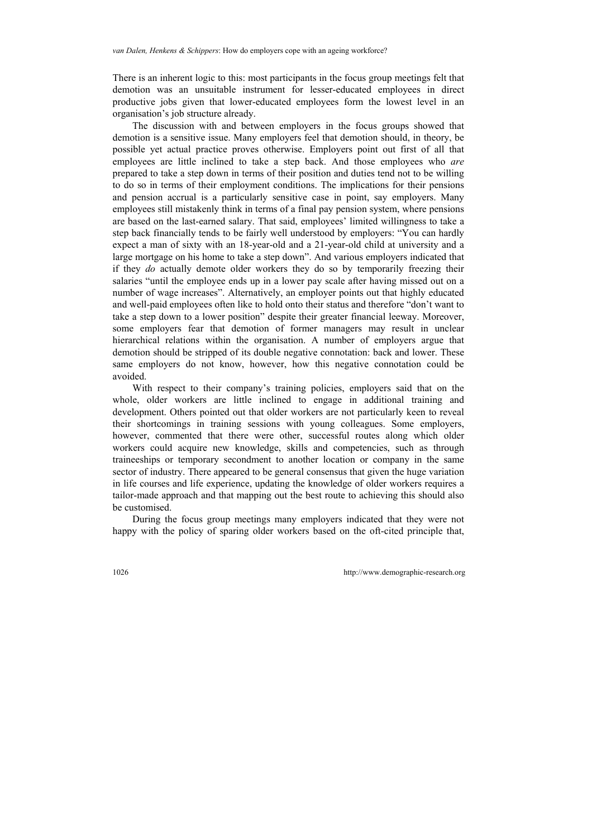There is an inherent logic to this: most participants in the focus group meetings felt that demotion was an unsuitable instrument for lesser-educated employees in direct productive jobs given that lower-educated employees form the lowest level in an organisation's job structure already.

The discussion with and between employers in the focus groups showed that demotion is a sensitive issue. Many employers feel that demotion should, in theory, be possible yet actual practice proves otherwise. Employers point out first of all that employees are little inclined to take a step back. And those employees who *are* prepared to take a step down in terms of their position and duties tend not to be willing to do so in terms of their employment conditions. The implications for their pensions and pension accrual is a particularly sensitive case in point, say employers. Many employees still mistakenly think in terms of a final pay pension system, where pensions are based on the last-earned salary. That said, employees' limited willingness to take a step back financially tends to be fairly well understood by employers: "You can hardly expect a man of sixty with an 18-year-old and a 21-year-old child at university and a large mortgage on his home to take a step down". And various employers indicated that if they *do* actually demote older workers they do so by temporarily freezing their salaries "until the employee ends up in a lower pay scale after having missed out on a number of wage increases". Alternatively, an employer points out that highly educated and well-paid employees often like to hold onto their status and therefore "don't want to take a step down to a lower position" despite their greater financial leeway. Moreover, some employers fear that demotion of former managers may result in unclear hierarchical relations within the organisation. A number of employers argue that demotion should be stripped of its double negative connotation: back and lower. These same employers do not know, however, how this negative connotation could be avoided.

With respect to their company's training policies, employers said that on the whole, older workers are little inclined to engage in additional training and development. Others pointed out that older workers are not particularly keen to reveal their shortcomings in training sessions with young colleagues. Some employers, however, commented that there were other, successful routes along which older workers could acquire new knowledge, skills and competencies, such as through traineeships or temporary secondment to another location or company in the same sector of industry. There appeared to be general consensus that given the huge variation in life courses and life experience, updating the knowledge of older workers requires a tailor-made approach and that mapping out the best route to achieving this should also be customised.

During the focus group meetings many employers indicated that they were not happy with the policy of sparing older workers based on the oft-cited principle that,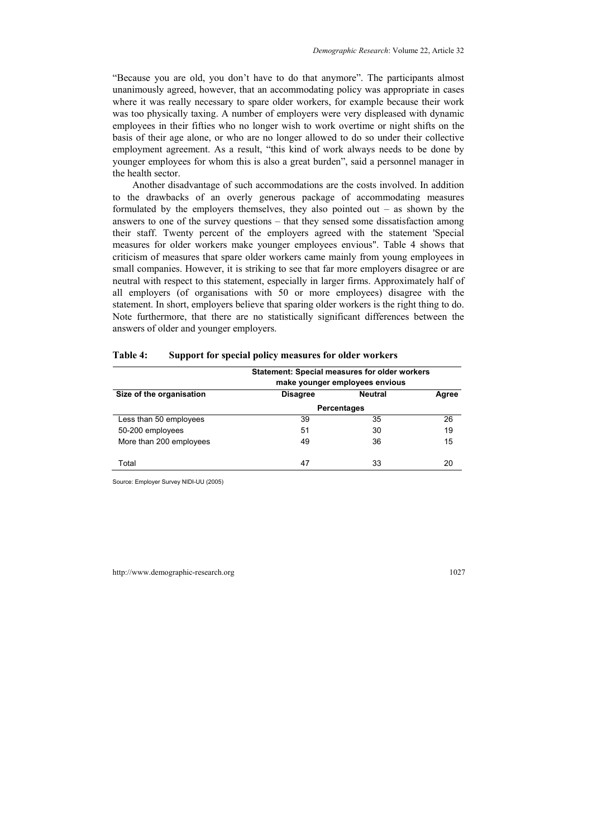"Because you are old, you don't have to do that anymore". The participants almost unanimously agreed, however, that an accommodating policy was appropriate in cases where it was really necessary to spare older workers, for example because their work was too physically taxing. A number of employers were very displeased with dynamic employees in their fifties who no longer wish to work overtime or night shifts on the basis of their age alone, or who are no longer allowed to do so under their collective employment agreement. As a result, "this kind of work always needs to be done by younger employees for whom this is also a great burden", said a personnel manager in the health sector.

Another disadvantage of such accommodations are the costs involved. In addition to the drawbacks of an overly generous package of accommodating measures formulated by the employers themselves, they also pointed out – as shown by the answers to one of the survey questions – that they sensed some dissatisfaction among their staff. Twenty percent of the employers agreed with the statement 'Special measures for older workers make younger employees envious". Table 4 shows that criticism of measures that spare older workers came mainly from young employees in small companies. However, it is striking to see that far more employers disagree or are neutral with respect to this statement, especially in larger firms. Approximately half of all employers (of organisations with 50 or more employees) disagree with the statement. In short, employers believe that sparing older workers is the right thing to do. Note furthermore, that there are no statistically significant differences between the answers of older and younger employers.

|                          | <b>Statement: Special measures for older workers</b> | make younger employees envious |       |
|--------------------------|------------------------------------------------------|--------------------------------|-------|
| Size of the organisation | <b>Disagree</b>                                      | <b>Neutral</b>                 | Agree |
|                          | <b>Percentages</b>                                   |                                |       |
| Less than 50 employees   | 39                                                   | 35                             | 26    |
| 50-200 employees         | 51                                                   | 30                             | 19    |
| More than 200 employees  | 49                                                   | 36                             | 15    |
| Total                    | 47                                                   | 33                             | 20    |

| Table 4: | Support for special policy measures for older workers |  |
|----------|-------------------------------------------------------|--|
|          |                                                       |  |

Source: Employer Survey NIDI-UU (2005)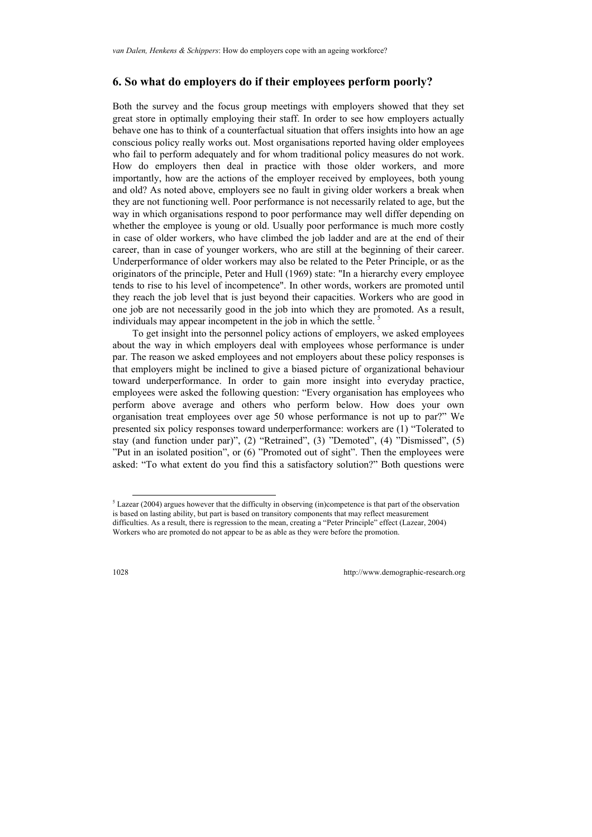### **6. So what do employers do if their employees perform poorly?**

Both the survey and the focus group meetings with employers showed that they set great store in optimally employing their staff. In order to see how employers actually behave one has to think of a counterfactual situation that offers insights into how an age conscious policy really works out. Most organisations reported having older employees who fail to perform adequately and for whom traditional policy measures do not work. How do employers then deal in practice with those older workers, and more importantly, how are the actions of the employer received by employees, both young and old? As noted above, employers see no fault in giving older workers a break when they are not functioning well. Poor performance is not necessarily related to age, but the way in which organisations respond to poor performance may well differ depending on whether the employee is young or old. Usually poor performance is much more costly in case of older workers, who have climbed the job ladder and are at the end of their career, than in case of younger workers, who are still at the beginning of their career. Underperformance of older workers may also be related to the Peter Principle, or as the originators of the principle, Peter and Hull (1969) state: "In a hierarchy every employee tends to rise to his level of incompetence". In other words, workers are promoted until they reach the job level that is just beyond their capacities. Workers who are good in one job are not necessarily good in the job into which they are promoted. As a result, individuals may appear incompetent in the job in which the settle.<sup>5</sup>

To get insight into the personnel policy actions of employers, we asked employees about the way in which employers deal with employees whose performance is under par. The reason we asked employees and not employers about these policy responses is that employers might be inclined to give a biased picture of org[an](#page-15-0)izational behaviour toward underperformance. In order to gain more insight into everyday practice, employees were asked the following question: "Every organisation has employees who perform above average and others who perform below. How does your own organisation treat employees over age 50 whose performance is not up to par?" We presented six policy responses toward underperformance: workers are (1) "Tolerated to stay (and function under par)", (2) "Retrained", (3) "Demoted", (4) "Dismissed", (5) "Put in an isolated position", or (6) "Promoted out of sight". Then the employees were asked: "To what extent do you find this a satisfactory solution?" Both questions were

l

<span id="page-15-0"></span><sup>&</sup>lt;sup>5</sup> Lazear (2004) argues however that the difficulty in observing (in)competence is that part of the observation is based on lasting ability, but part is based on transitory components that may reflect measurement difficulties. As a result, there is regression to the mean, creating a "Peter Principle" effect (Lazear, 2004) Workers who are promoted do not appear to be as able as they were before the promotion.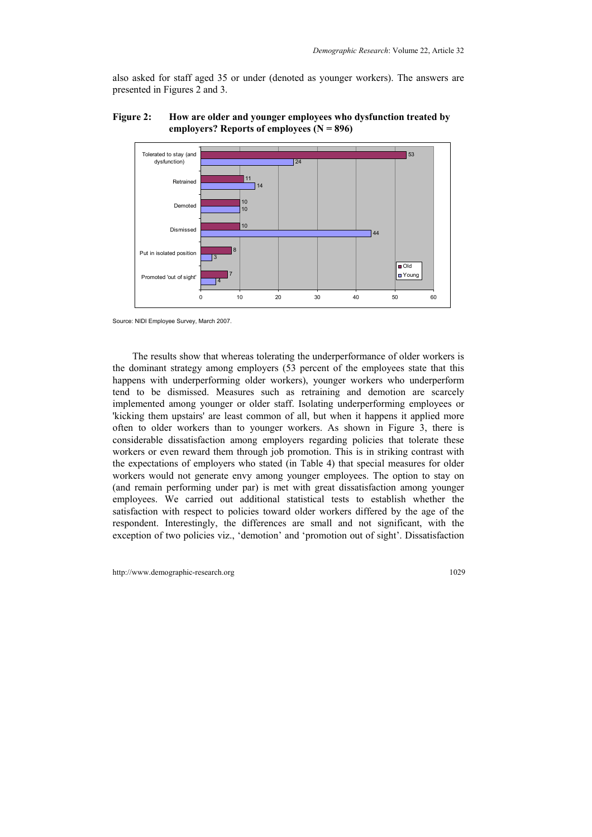also asked for staff aged 35 or under (denoted as younger workers). The answers are presented in Figures 2 and 3.





Source: NIDI Employee Survey, March 2007.

The results show that whereas tolerating the underperformance of older workers is the dominant strategy among employers (53 percent of the employees state that this happens with underperforming older workers), younger workers who underperform tend to be dismissed. Measures such as retraining and demotion are scarcely implemented among younger or older staff. Isolating underperforming employees or 'kicking them upstairs' are least common of all, but when it happens it applied more often to older workers than to younger workers. As shown in Figure 3, there is considerable dissatisfaction among employers regarding policies that tolerate these workers or even reward them through job promotion. This is in striking contrast with the expectations of employers who stated (in Table 4) that special measures for older workers would not generate envy among younger employees. The option to stay on (and remain performing under par) is met with great dissatisfaction among younger employees. We carried out additional statistical tests to establish whether the satisfaction with respect to policies toward older workers differed by the age of the respondent. Interestingly, the differences are small and not significant, with the exception of two policies viz., 'demotion' and 'promotion out of sight'. Dissatisfaction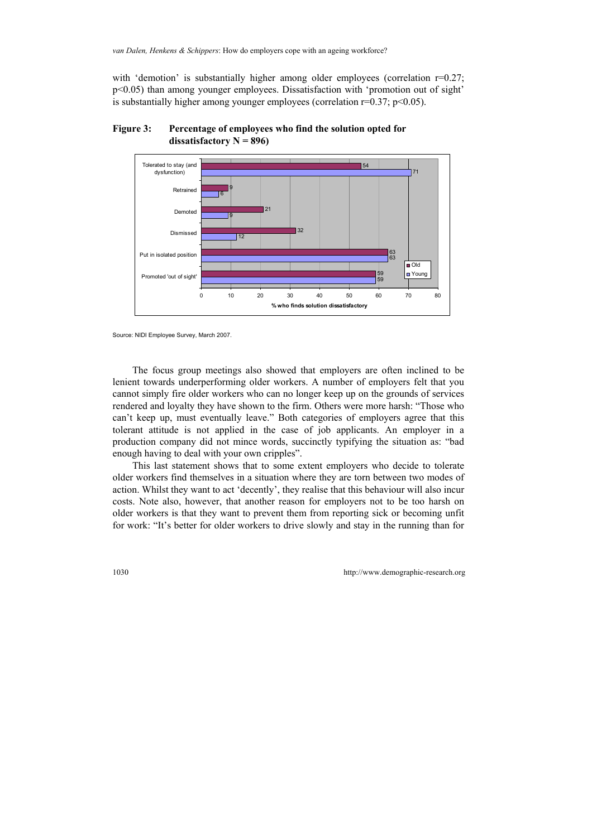with 'demotion' is substantially higher among older employees (correlation  $r=0.27$ ; p<0.05) than among younger employees. Dissatisfaction with 'promotion out of sight' is substantially higher among younger employees (correlation  $r=0.37$ ;  $p<0.05$ ).





Source: NIDI Employee Survey, March 2007.

The focus group meetings also showed that employers are often inclined to be lenient towards underperforming older workers. A number of employers felt that you cannot simply fire older workers who can no longer keep up on the grounds of services rendered and loyalty they have shown to the firm. Others were more harsh: "Those who can't keep up, must eventually leave." Both categories of employers agree that this tolerant attitude is not applied in the case of job applicants. An employer in a production company did not mince words, succinctly typifying the situation as: "bad enough having to deal with your own cripples".

This last statement shows that to some extent employers who decide to tolerate older workers find themselves in a situation where they are torn between two modes of action. Whilst they want to act 'decently', they realise that this behaviour will also incur costs. Note also, however, that another reason for employers not to be too harsh on older workers is that they want to prevent them from reporting sick or becoming unfit for work: "It's better for older workers to drive slowly and stay in the running than for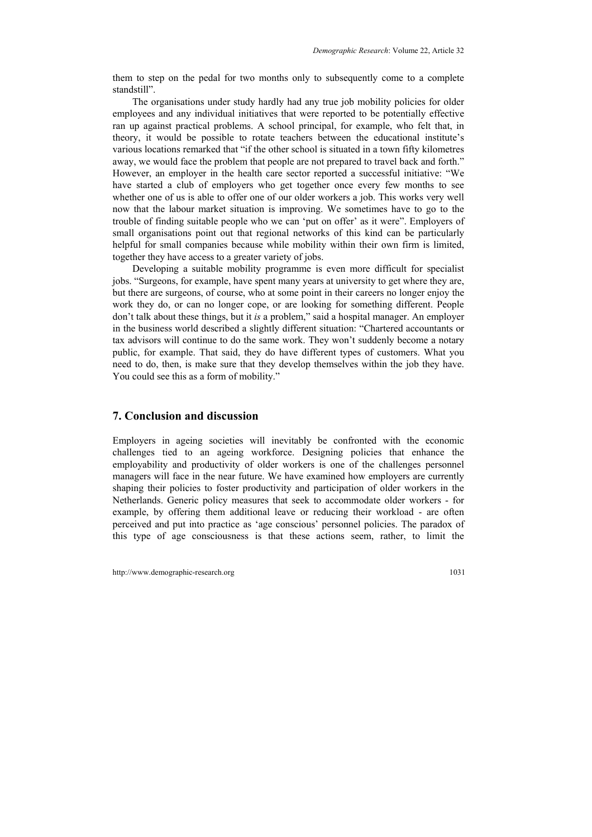them to step on the pedal for two months only to subsequently come to a complete standstill".

The organisations under study hardly had any true job mobility policies for older employees and any individual initiatives that were reported to be potentially effective ran up against practical problems. A school principal, for example, who felt that, in theory, it would be possible to rotate teachers between the educational institute's various locations remarked that "if the other school is situated in a town fifty kilometres away, we would face the problem that people are not prepared to travel back and forth." However, an employer in the health care sector reported a successful initiative: "We have started a club of employers who get together once every few months to see whether one of us is able to offer one of our older workers a job. This works very well now that the labour market situation is improving. We sometimes have to go to the trouble of finding suitable people who we can 'put on offer' as it were". Employers of small organisations point out that regional networks of this kind can be particularly helpful for small companies because while mobility within their own firm is limited, together they have access to a greater variety of jobs.

Developing a suitable mobility programme is even more difficult for specialist jobs. "Surgeons, for example, have spent many years at university to get where they are, but there are surgeons, of course, who at some point in their careers no longer enjoy the work they do, or can no longer cope, or are looking for something different. People don't talk about these things, but it *is* a problem," said a hospital manager. An employer in the business world described a slightly different situation: "Chartered accountants or tax advisors will continue to do the same work. They won't suddenly become a notary public, for example. That said, they do have different types of customers. What you need to do, then, is make sure that they develop themselves within the job they have. You could see this as a form of mobility."

### **7. Conclusion and discussion**

Employers in ageing societies will inevitably be confronted with the economic challenges tied to an ageing workforce. Designing policies that enhance the employability and productivity of older workers is one of the challenges personnel managers will face in the near future. We have examined how employers are currently shaping their policies to foster productivity and participation of older workers in the Netherlands. Generic policy measures that seek to accommodate older workers - for example, by offering them additional leave or reducing their workload - are often perceived and put into practice as 'age conscious' personnel policies. The paradox of this type of age consciousness is that these actions seem, rather, to limit the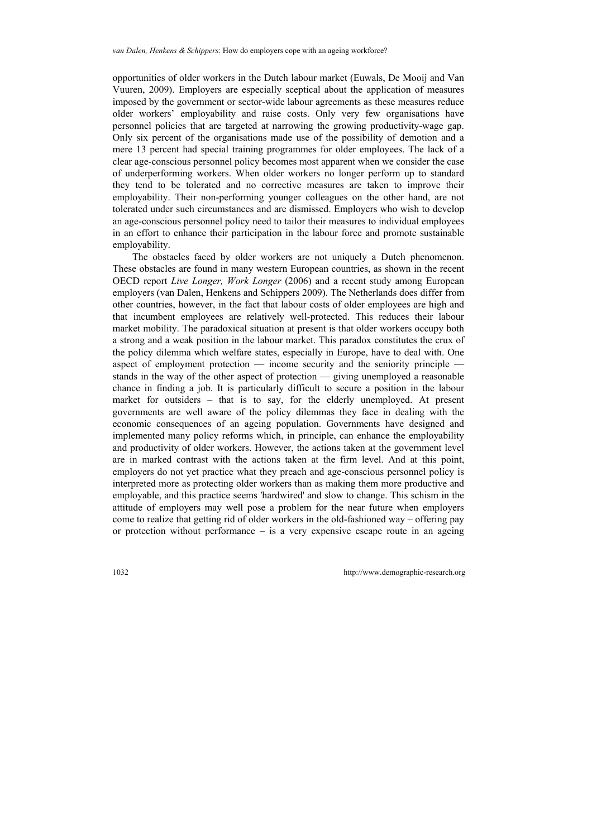opportunities of older workers in the Dutch labour market (Euwals, De Mooij and Van Vuuren, 2009). Employers are especially sceptical about the application of measures imposed by the government or sector-wide labour agreements as these measures reduce older workers' employability and raise costs. Only very few organisations have personnel policies that are targeted at narrowing the growing productivity-wage gap. Only six percent of the organisations made use of the possibility of demotion and a mere 13 percent had special training programmes for older employees. The lack of a clear age-conscious personnel policy becomes most apparent when we consider the case of underperforming workers. When older workers no longer perform up to standard they tend to be tolerated and no corrective measures are taken to improve their employability. Their non-performing younger colleagues on the other hand, are not tolerated under such circumstances and are dismissed. Employers who wish to develop an age-conscious personnel policy need to tailor their measures to individual employees in an effort to enhance their participation in the labour force and promote sustainable employability.

The obstacles faced by older workers are not uniquely a Dutch phenomenon. These obstacles are found in many western European countries, as shown in the recent OECD report *Live Longer, Work Longer* (2006) and a recent study among European employers (van Dalen, Henkens and Schippers 2009). The Netherlands does differ from other countries, however, in the fact that labour costs of older employees are high and that incumbent employees are relatively well-protected. This reduces their labour market mobility. The paradoxical situation at present is that older workers occupy both a strong and a weak position in the labour market. This paradox constitutes the crux of the policy dilemma which welfare states, especially in Europe, have to deal with. One aspect of employment protection  $-$  income security and the seniority principle  $$ stands in the way of the other aspect of protection — giving unemployed a reasonable chance in finding a job. It is particularly difficult to secure a position in the labour market for outsiders – that is to say, for the elderly unemployed. At present governments are well aware of the policy dilemmas they face in dealing with the economic consequences of an ageing population. Governments have designed and implemented many policy reforms which, in principle, can enhance the employability and productivity of older workers. However, the actions taken at the government level are in marked contrast with the actions taken at the firm level. And at this point, employers do not yet practice what they preach and age-conscious personnel policy is interpreted more as protecting older workers than as making them more productive and employable, and this practice seems 'hardwired' and slow to change. This schism in the attitude of employers may well pose a problem for the near future when employers come to realize that getting rid of older workers in the old-fashioned way – offering pay or protection without performance – is a very expensive escape route in an ageing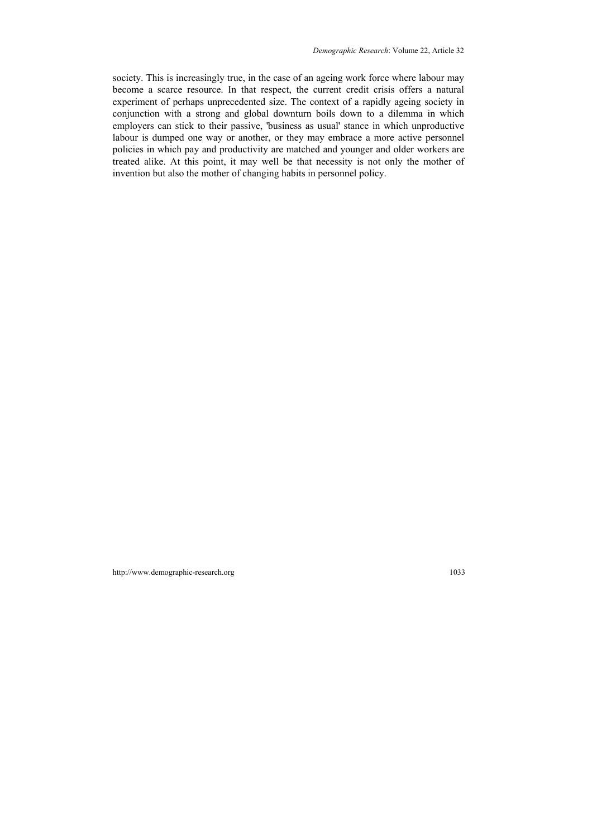society. This is increasingly true, in the case of an ageing work force where labour may become a scarce resource. In that respect, the current credit crisis offers a natural experiment of perhaps unprecedented size. The context of a rapidly ageing society in conjunction with a strong and global downturn boils down to a dilemma in which employers can stick to their passive, 'business as usual' stance in which unproductive labour is dumped one way or another, or they may embrace a more active personnel policies in which pay and productivity are matched and younger and older workers are treated alike. At this point, it may well be that necessity is not only the mother of invention but also the mother of changing habits in personnel policy.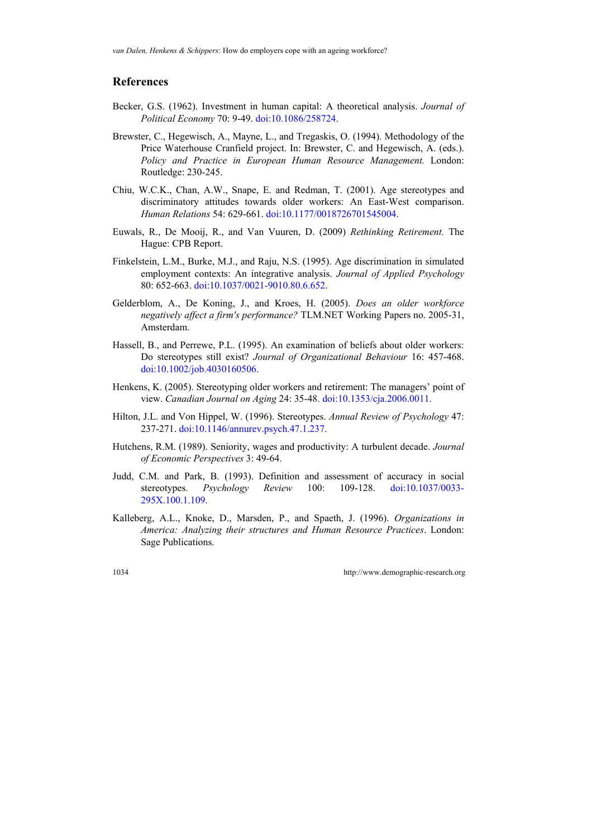#### **References**

- Becker, G.S. (1962). Investment in human capital: A theoretical analysis. *Journal of Political Economy* 70: 9-49. [doi:10.1086/258724.](http://dx.doi.org/10.1086/258724)
- Brewster, C., Hegewisch, A., Mayne, L., and Tregaskis, O. (1994). Methodology of the Price Waterhouse Cranfield project. In: Brewster, C. and Hegewisch, A. (eds.). *Policy and Practice in European Human Resource Management.* London: Routledge: 230-245.
- Chiu, W.C.K., Chan, A.W., Snape, E. and Redman, T. (2001). Age stereotypes and discriminatory attitudes towards older workers: An East-West comparison. *Human Relations* 54: 629-661. [doi:10.1177/0018726701545004.](http://dx.doi.org/10.1177/0018726701545004)
- Euwals, R., De Mooij, R., and Van Vuuren, D. (2009) *Rethinking Retirement.* The Hague: CPB Report.
- Finkelstein, L.M., Burke, M.J., and Raju, N.S. (1995). Age discrimination in simulated employment contexts: An integrative analysis. *Journal of Applied Psychology* 80: 652-663. [doi:10.1037/0021-9010.80.6.652](http://dx.doi.org/10.1037/0021-9010.80.6.652).
- Gelderblom, A., De Koning, J., and Kroes, H. (2005). *Does an older workforce negatively affect a firm's performance?* TLM.NET Working Papers no. 2005-31, Amsterdam.
- Hassell, B., and Perrewe, P.L. (1995). An examination of beliefs about older workers: Do stereotypes still exist? *Journal of Organizational Behaviour* 16: 457-468. [doi:10.1002/job.4030160506](http://dx.doi.org/10.1002/job.4030160506).
- Henkens, K. (2005). Stereotyping older workers and retirement: The managers' point of view. *Canadian Journal on Aging* 24: 35-48. [doi:10.1353/cja.2006.0011.](http://dx.doi.org/10.1353/cja.2006.0011)
- Hilton, J.L. and Von Hippel, W. (1996). Stereotypes. *Annual Review of Psychology* 47: 237-271. [doi:10.1146/annurev.psych.47.1.237.](http://dx.doi.org/10.1146/annurev.psych.47.1.237)
- Hutchens, R.M. (1989). Seniority, wages and productivity: A turbulent decade. *Journal of Economic Perspectives* 3: 49-64.
- Judd, C.M. and Park, B. (1993). Definition and assessment of accuracy in social stereotypes. *Psychology Review* 100: 109-128. [doi:10.1037/0033-](http://dx.doi.org/10.1037/0033-295X.100.1.109) [295X.100.1.109.](http://dx.doi.org/10.1037/0033-295X.100.1.109)
- Kalleberg, A.L., Knoke, D., Marsden, P., and Spaeth, J. (1996). *Organizations in America: Analyzing their structures and Human Resource Practices*. London: Sage Publications.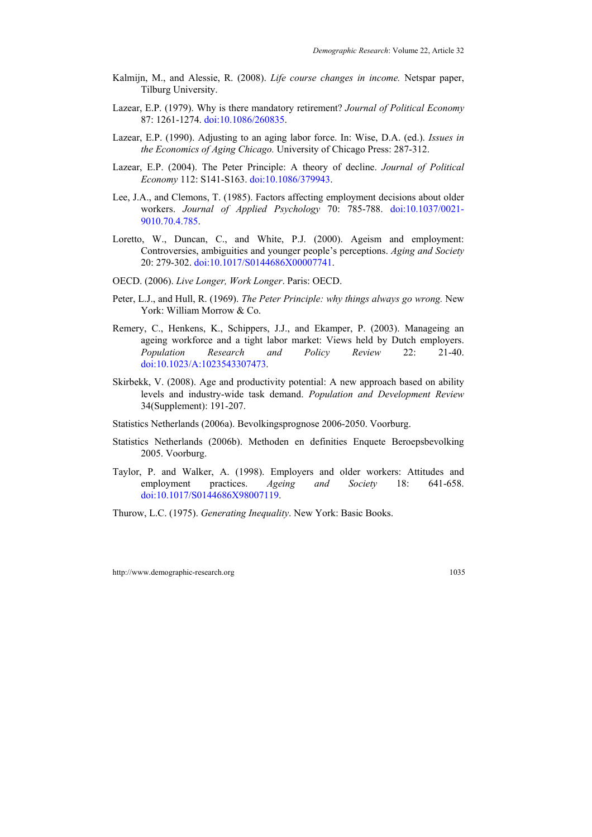- Kalmijn, M., and Alessie, R. (2008). *Life course changes in income.* Netspar paper, Tilburg University.
- Lazear, E.P. (1979). Why is there mandatory retirement? *Journal of Political Economy* 87: 1261-1274. [doi:10.1086/260835](http://dx.doi.org/10.1086/260835).
- Lazear, E.P. (1990). Adjusting to an aging labor force. In: Wise, D.A. (ed.). *Issues in the Economics of Aging Chicago.* University of Chicago Press: 287-312.
- Lazear, E.P. (2004). The Peter Principle: A theory of decline. *Journal of Political Economy* 112: S141-S163. [doi:10.1086/379943](http://dx.doi.org/10.1086/379943).
- Lee, J.A., and Clemons, T. (1985). Factors affecting employment decisions about older workers. *Journal of Applied Psychology* 70: 785-788. [doi:10.1037/0021-](http://dx.doi.org/10.1037/0021-9010.70.4.785) [9010.70.4.785](http://dx.doi.org/10.1037/0021-9010.70.4.785).
- Loretto, W., Duncan, C., and White, P.J. (2000). Ageism and employment: Controversies, ambiguities and younger people's perceptions. *Aging and Society* 20: 279-302. [doi:10.1017/S0144686X00007741](http://dx.doi.org/10.1017/S0144686X00007741).
- OECD. (2006). *Live Longer, Work Longer*. Paris: OECD.
- Peter, L.J., and Hull, R. (1969). *The Peter Principle: why things always go wrong.* New York: William Morrow & Co.
- Remery, C., Henkens, K., Schippers, J.J., and Ekamper, P. (2003). Manageing an ageing workforce and a tight labor market: Views held by Dutch employers. *Population Research and Policy Review* 22: 21-40. [doi:10.1023/A:1023543307473.](http://dx.doi.org/10.1023/A:1023543307473)
- Skirbekk, V. (2008). Age and productivity potential: A new approach based on ability levels and industry-wide task demand. *Population and Development Review* 34(Supplement): 191-207.
- Statistics Netherlands (2006a). Bevolkingsprognose 2006-2050. Voorburg.
- Statistics Netherlands (2006b). Methoden en definities Enquete Beroepsbevolking 2005. Voorburg.
- Taylor, P. and Walker, A. (1998). Employers and older workers: Attitudes and employment practices. *Ageing and Society* 18: 641-658. [doi:10.1017/S0144686X98007119.](http://dx.doi.org/10.1017/S0144686X98007119)

Thurow, L.C. (1975). *Generating Inequality*. New York: Basic Books.